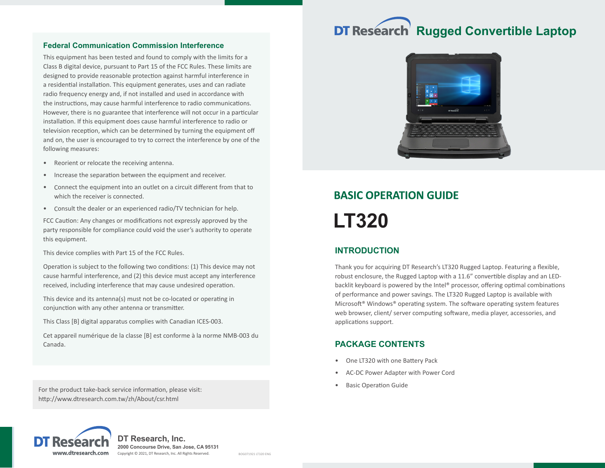#### **Federal Communication Commission Interference**

This equipment has been tested and found to comply with the limits for a Class B digital device, pursuant to Part 15 of the FCC Rules. These limits are designed to provide reasonable protection against harmful interference in a residential installation. This equipment generates, uses and can radiate radio frequency energy and, if not installed and used in accordance with the instructions, may cause harmful interference to radio communications. However, there is no guarantee that interference will not occur in a particular installation. If this equipment does cause harmful interference to radio or television reception, which can be determined by turning the equipment off and on, the user is encouraged to try to correct the interference by one of the following measures:

- Reorient or relocate the receiving antenna.
- Increase the separation between the equipment and receiver.
- Connect the equipment into an outlet on a circuit different from that to which the receiver is connected.
- Consult the dealer or an experienced radio/TV technician for help.

FCC Caution: Any changes or modifications not expressly approved by the party responsible for compliance could void the user's authority to operate this equipment.

This device complies with Part 15 of the FCC Rules.

Operation is subject to the following two conditions: (1) This device may not cause harmful interference, and (2) this device must accept any interference received, including interference that may cause undesired operation.

This device and its antenna(s) must not be co-located or operating in conjunction with any other antenna or transmitter.

This Class [B] digital apparatus complies with Canadian ICES-003.

Cet appareil numérique de la classe [B] est conforme à la norme NMB-003 du Canada.

For the product take-back service information, please visit: http://www.dtresearch.com.tw/zh/About/csr.html

# **DT Research Rugged Convertible Laptop**



# **BASIC OPERATION GUIDE LT320**

# **INTRODUCTION**

Thank you for acquiring DT Research's LT320 Rugged Laptop. Featuring a flexible, robust enclosure, the Rugged Laptop with a 11.6" convertible display and an LEDbacklit keyboard is powered by the Intel® processor, offering optimal combinations of performance and power savings. The LT320 Rugged Laptop is available with Microsoft® Windows® operating system. The software operating system features web browser, client/ server computing software, media player, accessories, and applications support.

### **PACKAGE CONTENTS**

- One LT320 with one Battery Pack
- AC-DC Power Adapter with Power Cord
- **Basic Operation Guide**



**2000 Concourse Drive, San Jose, CA 95131** Copyright © 2021, DT Research, Inc. All Rights Reserved. BOG071921 LT320 ENG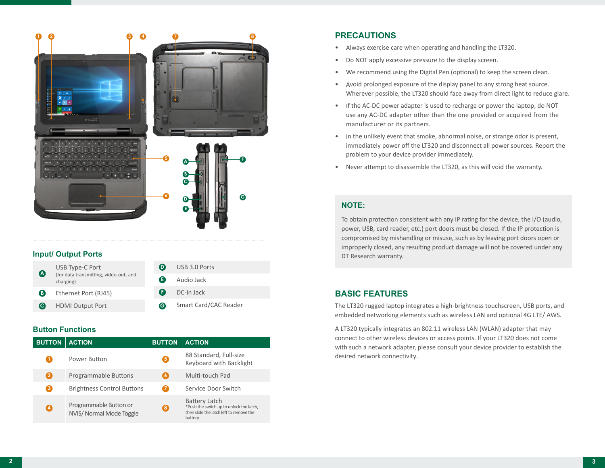

#### **Input/ Output Ports**

| $\boldsymbol{\Omega}$ | USB Type-C Port<br>(for data transmitting, video-out, and<br>charging) | D) | USB 3.0 Ports         |
|-----------------------|------------------------------------------------------------------------|----|-----------------------|
|                       |                                                                        | G  | Audio Jack            |
| (B)                   | Ethernet Port (RJ45)                                                   | Œ  | DC-in Jack            |
| (C)                   | <b>HDMI Output Port</b>                                                | e  | Smart Card/CAC Reader |
|                       |                                                                        |    |                       |

### **Button Functions**

| <b>BUTTON</b> | <b>ACTION</b>                                      | <b>BUTTON</b> | <b>ACTION</b>                                                                                                           |
|---------------|----------------------------------------------------|---------------|-------------------------------------------------------------------------------------------------------------------------|
| П             | Power Button                                       | 0             | 88 Standard, Full-size<br>Keyboard with Backlight                                                                       |
| 2             | Programmable Buttons                               | G             | Multi-touch Pad                                                                                                         |
| 8             | <b>Brightness Control Buttons</b>                  | Ø             | Service Door Switch                                                                                                     |
| 0             | Programmable Button or<br>NVIS/ Normal Mode Toggle | 6             | <b>Battery Latch</b><br>*Push the switch up to unlock the latch,<br>then slide the latch left to remove the<br>battery. |

# **PRECAUTIONS**

- Always exercise care when operating and handling the LT320.
- Do NOT apply excessive pressure to the display screen.
- We recommend using the Digital Pen (optional) to keep the screen clean.
- Avoid prolonged exposure of the display panel to any strong heat source. Wherever possible, the LT320 should face away from direct light to reduce glare.
- If the AC-DC power adapter is used to recharge or power the laptop, do NOT use any AC-DC adapter other than the one provided or acquired from the manufacturer or its partners.
- In the unlikely event that smoke, abnormal noise, or strange odor is present, immediately power off the LT320 and disconnect all power sources. Report the problem to your device provider immediately.
- Never attempt to disassemble the LT320, as this will void the warranty.

# **NOTE:**

To obtain protection consistent with any IP rating for the device, the I/O (audio, power, USB, card reader, etc.) port doors must be closed. If the IP protection is compromised by mishandling or misuse, such as by leaving port doors open or improperly closed, any resulting product damage will not be covered under any DT Research warranty.

# **BASIC FEATURES**

The LT320 rugged laptop integrates a high-brightness touchscreen, USB ports, and embedded networking elements such as wireless LAN and optional 4G LTE/ AWS.

A LT320 typically integrates an 802.11 wireless LAN (WLAN) adapter that may connect to other wireless devices or access points. If your LT320 does not come with such a network adapter, please consult your device provider to establish the desired network connectivity.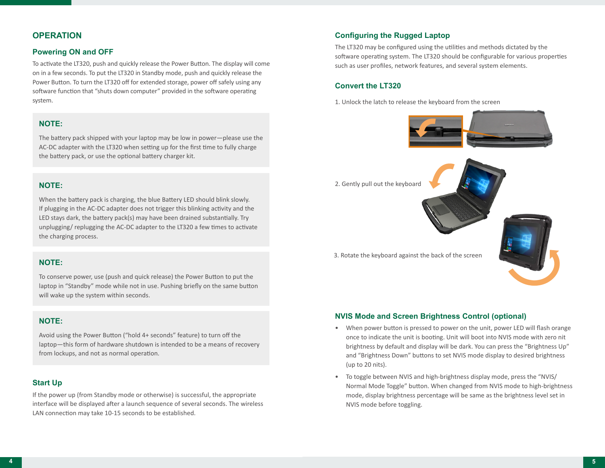# **OPERATION**

#### **Powering ON and OFF**

To activate the LT320, push and quickly release the Power Button. The display will come on in a few seconds. To put the LT320 in Standby mode, push and quickly release the Power Button. To turn the LT320 off for extended storage, power off safely using any software function that "shuts down computer" provided in the software operating system.

#### **NOTE:**

The battery pack shipped with your laptop may be low in power—please use the AC-DC adapter with the LT320 when setting up for the first time to fully charge the battery pack, or use the optional battery charger kit.

### **NOTE:**

When the battery pack is charging, the blue Battery LED should blink slowly. If plugging in the AC-DC adapter does not trigger this blinking activity and the LED stays dark, the battery pack(s) may have been drained substantially. Try unplugging/ replugging the AC-DC adapter to the LT320 a few times to activate the charging process.

### **NOTE:**

To conserve power, use (push and quick release) the Power Button to put the laptop in "Standby" mode while not in use. Pushing briefly on the same button will wake up the system within seconds.

# **NOTE:**

Avoid using the Power Button ("hold 4+ seconds" feature) to turn off the laptop—this form of hardware shutdown is intended to be a means of recovery from lockups, and not as normal operation.

#### **Start Up**

If the power up (from Standby mode or otherwise) is successful, the appropriate interface will be displayed after a launch sequence of several seconds. The wireless LAN connection may take 10-15 seconds to be established.

#### **Configuring the Rugged Laptop**

The LT320 may be configured using the utilities and methods dictated by the software operating system. The LT320 should be configurable for various properties such as user profiles, network features, and several system elements.

#### **Convert the LT320**

1. Unlock the latch to release the keyboard from the screen



2. Gently pull out the keyboard



#### **NVIS Mode and Screen Brightness Control (optional)**

- When power button is pressed to power on the unit, power LED will flash orange once to indicate the unit is booting. Unit will boot into NVIS mode with zero nit brightness by default and display will be dark. You can press the "Brightness Up" and "Brightness Down" buttons to set NVIS mode display to desired brightness (up to 20 nits).
- To toggle between NVIS and high-brightness display mode, press the "NVIS/ Normal Mode Toggle" button. When changed from NVIS mode to high-brightness mode, display brightness percentage will be same as the brightness level set in NVIS mode before toggling.